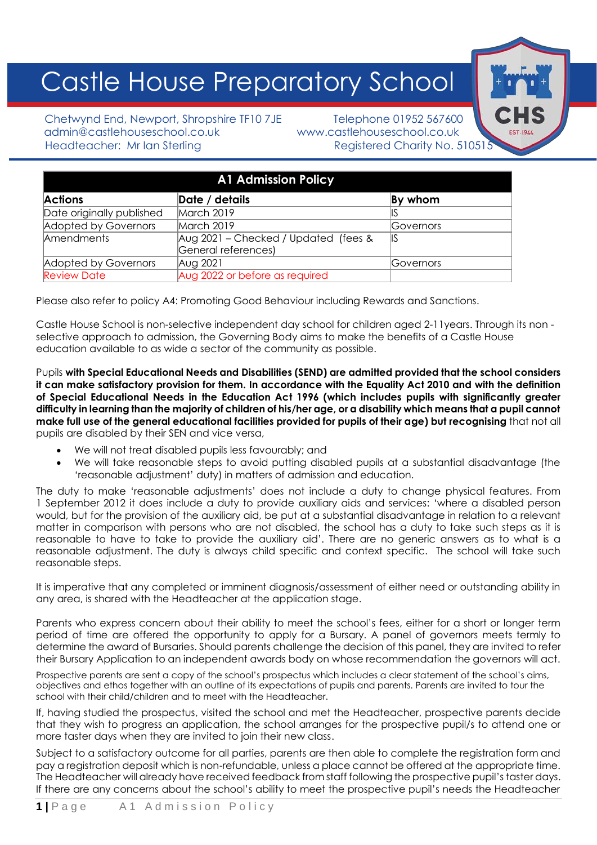# Castle House Preparatory School

Chetwynd End, Newport, Shropshire TF10 7JE Telephone 01952 567600 admin@castlehouseschool.co.uk www.castlehouseschool.co.uk Headteacher: Mr Ian Sterling Theory Registered Charity No. 51051

| <b>A1 Admission Policy</b> |                                      |                   |
|----------------------------|--------------------------------------|-------------------|
| <b>Actions</b>             | Date / details                       | By whom           |
| Date originally published  | March 2019                           |                   |
| Adopted by Governors       | March 2019                           | <b>IGovernors</b> |
| Amendments                 | Aug 2021 - Checked / Updated (fees & | 1IS               |
|                            | General references)                  |                   |
| Adopted by Governors       | Aug 2021                             | <b>IGovernors</b> |
| <b>Review Date</b>         | Aug 2022 or before as required       |                   |

Please also refer to policy A4: Promoting Good Behaviour including Rewards and Sanctions.

Castle House School is non-selective independent day school for children aged 2-11years. Through its non selective approach to admission, the Governing Body aims to make the benefits of a Castle House education available to as wide a sector of the community as possible.

Pupils **with Special Educational Needs and Disabilities (SEND) are admitted provided that the school considers it can make satisfactory provision for them. In accordance with the Equality Act 2010 and with the definition of Special Educational Needs in the Education Act 1996 (which includes pupils with significantly greater difficulty in learning than the majority of children of his/her age, or a disability which means that a pupil cannot make full use of the general educational facilities provided for pupils of their age) but recognising** that not all pupils are disabled by their SEN and vice versa,

- We will not treat disabled pupils less favourably; and
- We will take reasonable steps to avoid putting disabled pupils at a substantial disadvantage (the 'reasonable adjustment' duty) in matters of admission and education.

The duty to make 'reasonable adjustments' does not include a duty to change physical features. From 1 September 2012 it does include a duty to provide auxiliary aids and services: 'where a disabled person would, but for the provision of the auxiliary aid, be put at a substantial disadvantage in relation to a relevant matter in comparison with persons who are not disabled, the school has a duty to take such steps as it is reasonable to have to take to provide the auxiliary aid'. There are no generic answers as to what is a reasonable adjustment. The duty is always child specific and context specific. The school will take such reasonable steps.

It is imperative that any completed or imminent diagnosis/assessment of either need or outstanding ability in any area, is shared with the Headteacher at the application stage.

Parents who express concern about their ability to meet the school's fees, either for a short or longer term period of time are offered the opportunity to apply for a Bursary. A panel of governors meets termly to determine the award of Bursaries. Should parents challenge the decision of this panel, they are invited to refer their Bursary Application to an independent awards body on whose recommendation the governors will act.

Prospective parents are sent a copy of the school's prospectus which includes a clear statement of the school's aims, objectives and ethos together with an outline of its expectations of pupils and parents. Parents are invited to tour the school with their child/children and to meet with the Headteacher.

If, having studied the prospectus, visited the school and met the Headteacher, prospective parents decide that they wish to progress an application, the school arranges for the prospective pupil/s to attend one or more taster days when they are invited to join their new class.

Subject to a satisfactory outcome for all parties, parents are then able to complete the registration form and pay a registration deposit which is non-refundable, unless a place cannot be offered at the appropriate time. The Headteacher will already have received feedback from staff following the prospective pupil's taster days. If there are any concerns about the school's ability to meet the prospective pupil's needs the Headteacher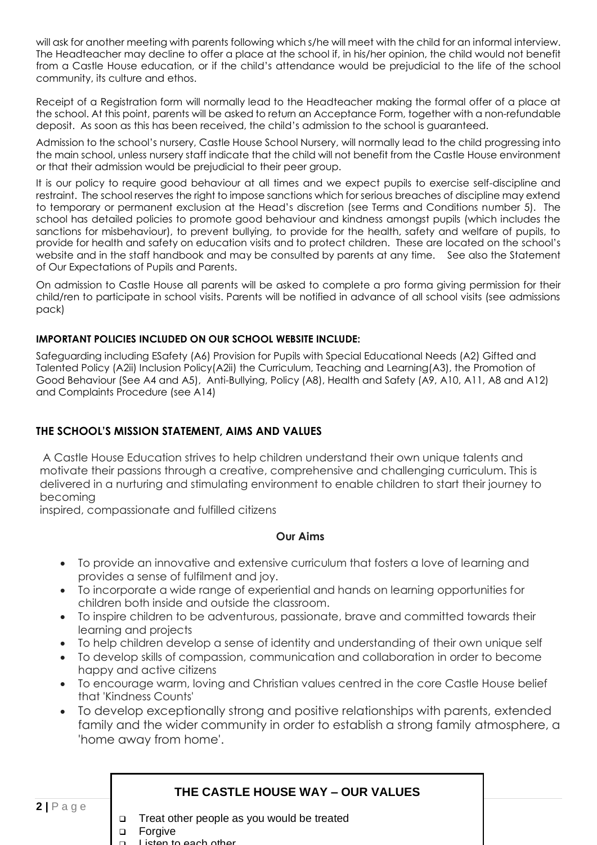will ask for another meeting with parents following which s/he will meet with the child for an informal interview. The Headteacher may decline to offer a place at the school if, in his/her opinion, the child would not benefit from a Castle House education, or if the child's attendance would be prejudicial to the life of the school community, its culture and ethos.

Receipt of a Registration form will normally lead to the Headteacher making the formal offer of a place at the school. At this point, parents will be asked to return an Acceptance Form, together with a non-refundable deposit. As soon as this has been received, the child's admission to the school is guaranteed.

Admission to the school's nursery, Castle House School Nursery, will normally lead to the child progressing into the main school, unless nursery staff indicate that the child will not benefit from the Castle House environment or that their admission would be prejudicial to their peer group.

It is our policy to require good behaviour at all times and we expect pupils to exercise self-discipline and restraint. The school reserves the right to impose sanctions which for serious breaches of discipline may extend to temporary or permanent exclusion at the Head's discretion (see Terms and Conditions number 5). The school has detailed policies to promote good behaviour and kindness amongst pupils (which includes the sanctions for misbehaviour), to prevent bullying, to provide for the health, safety and welfare of pupils, to provide for health and safety on education visits and to protect children. These are located on the school's website and in the staff handbook and may be consulted by parents at any time. See also the Statement of Our Expectations of Pupils and Parents.

On admission to Castle House all parents will be asked to complete a pro forma giving permission for their child/ren to participate in school visits. Parents will be notified in advance of all school visits (see admissions pack)

#### **IMPORTANT POLICIES INCLUDED ON OUR SCHOOL WEBSITE INCLUDE:**

Safeguarding including ESafety (A6) Provision for Pupils with Special Educational Needs (A2) Gifted and Talented Policy (A2ii) Inclusion Policy(A2ii) the Curriculum, Teaching and Learning(A3), the Promotion of Good Behaviour (See A4 and A5), Anti-Bullying, Policy (A8), Health and Safety (A9, A10, A11, A8 and A12) and Complaints Procedure (see A14)

#### **THE SCHOOL'S MISSION STATEMENT, AIMS AND VALUES**

A Castle House Education strives to help children understand their own unique talents and motivate their passions through a creative, comprehensive and challenging curriculum. This is delivered in a nurturing and stimulating environment to enable children to start their journey to becoming

inspired, compassionate and fulfilled citizens

#### **Our Aims**

- To provide an innovative and extensive curriculum that fosters a love of learning and provides a sense of fulfilment and joy.
- To incorporate a wide range of experiential and hands on learning opportunities for children both inside and outside the classroom.
- To inspire children to be adventurous, passionate, brave and committed towards their learning and projects
- To help children develop a sense of identity and understanding of their own unique self
- To develop skills of compassion, communication and collaboration in order to become happy and active citizens
- To encourage warm, loving and Christian values centred in the core Castle House belief that 'Kindness Counts'
- To develop exceptionally strong and positive relationships with parents, extended family and the wider community in order to establish a strong family atmosphere, a 'home away from home'.

#### $2 | P a g e$

#### **THE CASTLE HOUSE WAY – OUR VALUES**

- Treat other people as you would be treated
- ❑ Forgive
- ❑ Listen to each other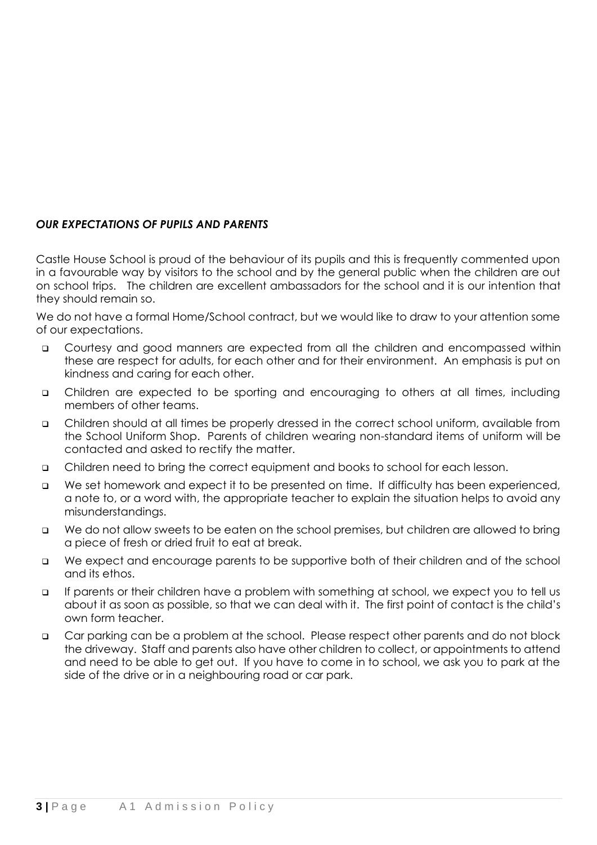### *OUR EXPECTATIONS OF PUPILS AND PARENTS*

Castle House School is proud of the behaviour of its pupils and this is frequently commented upon in a favourable way by visitors to the school and by the general public when the children are out on school trips. The children are excellent ambassadors for the school and it is our intention that they should remain so.

We do not have a formal Home/School contract, but we would like to draw to your attention some of our expectations.

- ❑ Courtesy and good manners are expected from all the children and encompassed within these are respect for adults, for each other and for their environment. An emphasis is put on kindness and caring for each other.
- ❑ Children are expected to be sporting and encouraging to others at all times, including members of other teams.
- ❑ Children should at all times be properly dressed in the correct school uniform, available from the School Uniform Shop. Parents of children wearing non-standard items of uniform will be contacted and asked to rectify the matter.
- ❑ Children need to bring the correct equipment and books to school for each lesson.
- ❑ We set homework and expect it to be presented on time. If difficulty has been experienced, a note to, or a word with, the appropriate teacher to explain the situation helps to avoid any misunderstandings.
- ❑ We do not allow sweets to be eaten on the school premises, but children are allowed to bring a piece of fresh or dried fruit to eat at break.
- ❑ We expect and encourage parents to be supportive both of their children and of the school and its ethos.
- ❑ If parents or their children have a problem with something at school, we expect you to tell us about it as soon as possible, so that we can deal with it. The first point of contact is the child's own form teacher.
- ❑ Car parking can be a problem at the school. Please respect other parents and do not block the driveway. Staff and parents also have other children to collect, or appointments to attend and need to be able to get out. If you have to come in to school, we ask you to park at the side of the drive or in a neighbouring road or car park.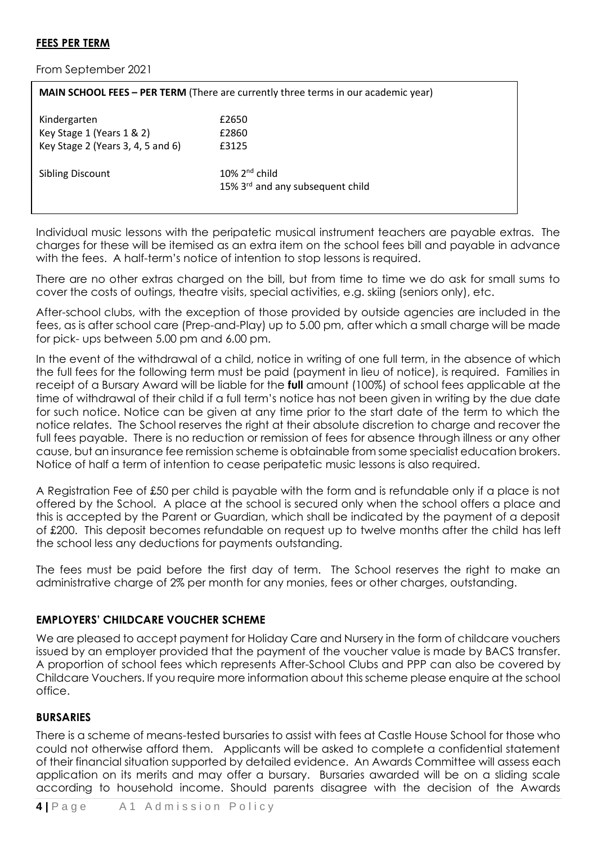#### **FEES PER TERM**

From September 2021

| MAIN SCHOOL FEES - PER TERM (There are currently three terms in our academic year) |                                                                  |  |
|------------------------------------------------------------------------------------|------------------------------------------------------------------|--|
| Kindergarten                                                                       | £2650                                                            |  |
| Key Stage 1 (Years 1 & 2)                                                          | £2860                                                            |  |
| Key Stage 2 (Years 3, 4, 5 and 6)                                                  | £3125                                                            |  |
| <b>Sibling Discount</b>                                                            | $10\%$ 2 <sup>nd</sup> child<br>15% 3rd and any subsequent child |  |

Individual music lessons with the peripatetic musical instrument teachers are payable extras. The charges for these will be itemised as an extra item on the school fees bill and payable in advance with the fees. A half-term's notice of intention to stop lessons is required.

There are no other extras charged on the bill, but from time to time we do ask for small sums to cover the costs of outings, theatre visits, special activities, e.g. skiing (seniors only), etc.

After-school clubs, with the exception of those provided by outside agencies are included in the fees, as is after school care (Prep-and-Play) up to 5.00 pm, after which a small charge will be made for pick- ups between 5.00 pm and 6.00 pm.

In the event of the withdrawal of a child, notice in writing of one full term, in the absence of which the full fees for the following term must be paid (payment in lieu of notice), is required. Families in receipt of a Bursary Award will be liable for the **full** amount (100%) of school fees applicable at the time of withdrawal of their child if a full term's notice has not been given in writing by the due date for such notice. Notice can be given at any time prior to the start date of the term to which the notice relates. The School reserves the right at their absolute discretion to charge and recover the full fees payable. There is no reduction or remission of fees for absence through illness or any other cause, but an insurance fee remission scheme is obtainable from some specialist education brokers. Notice of half a term of intention to cease peripatetic music lessons is also required.

A Registration Fee of £50 per child is payable with the form and is refundable only if a place is not offered by the School. A place at the school is secured only when the school offers a place and this is accepted by the Parent or Guardian, which shall be indicated by the payment of a deposit of £200. This deposit becomes refundable on request up to twelve months after the child has left the school less any deductions for payments outstanding.

The fees must be paid before the first day of term. The School reserves the right to make an administrative charge of 2% per month for any monies, fees or other charges, outstanding.

#### **EMPLOYERS' CHILDCARE VOUCHER SCHEME**

We are pleased to accept payment for Holiday Care and Nursery in the form of childcare vouchers issued by an employer provided that the payment of the voucher value is made by BACS transfer. A proportion of school fees which represents After-School Clubs and PPP can also be covered by Childcare Vouchers. If you require more information about this scheme please enquire at the school office.

#### **BURSARIES**

There is a scheme of means-tested bursaries to assist with fees at Castle House School for those who could not otherwise afford them. Applicants will be asked to complete a confidential statement of their financial situation supported by detailed evidence. An Awards Committee will assess each application on its merits and may offer a bursary. Bursaries awarded will be on a sliding scale according to household income. Should parents disagree with the decision of the Awards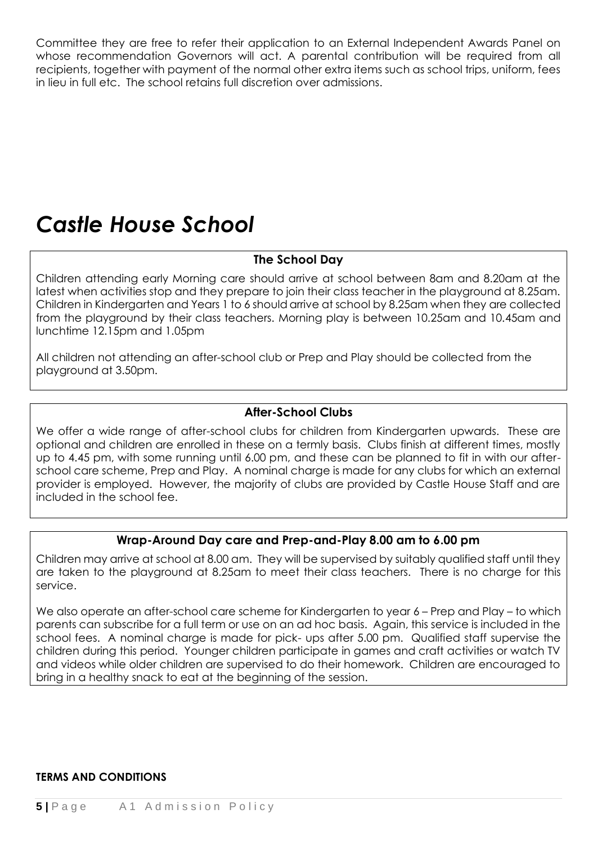Committee they are free to refer their application to an External Independent Awards Panel on whose recommendation Governors will act. A parental contribution will be required from all recipients, together with payment of the normal other extra items such as school trips, uniform, fees in lieu in full etc. The school retains full discretion over admissions.

# *Castle House School*

# **The School Day**

Children attending early Morning care should arrive at school between 8am and 8.20am at the latest when activities stop and they prepare to join their class teacher in the playground at 8.25am. Children in Kindergarten and Years 1 to 6 should arrive at school by 8.25am when they are collected from the playground by their class teachers. Morning play is between 10.25am and 10.45am and lunchtime 12.15pm and 1.05pm

All children not attending an after-school club or Prep and Play should be collected from the playground at 3.50pm.

# **After-School Clubs**

We offer a wide range of after-school clubs for children from Kindergarten upwards. These are optional and children are enrolled in these on a termly basis. Clubs finish at different times, mostly up to 4.45 pm, with some running until 6.00 pm, and these can be planned to fit in with our afterschool care scheme, Prep and Play. A nominal charge is made for any clubs for which an external provider is employed. However, the majority of clubs are provided by Castle House Staff and are included in the school fee.

# **Wrap-Around Day care and Prep-and-Play 8.00 am to 6.00 pm**

Children may arrive at school at 8.00 am. They will be supervised by suitably qualified staff until they are taken to the playground at 8.25am to meet their class teachers. There is no charge for this service.

We also operate an after-school care scheme for Kindergarten to year 6 – Prep and Play – to which parents can subscribe for a full term or use on an ad hoc basis. Again, this service is included in the school fees. A nominal charge is made for pick- ups after 5.00 pm. Qualified staff supervise the children during this period. Younger children participate in games and craft activities or watch TV and videos while older children are supervised to do their homework. Children are encouraged to bring in a healthy snack to eat at the beginning of the session.

#### **TERMS AND CONDITIONS**